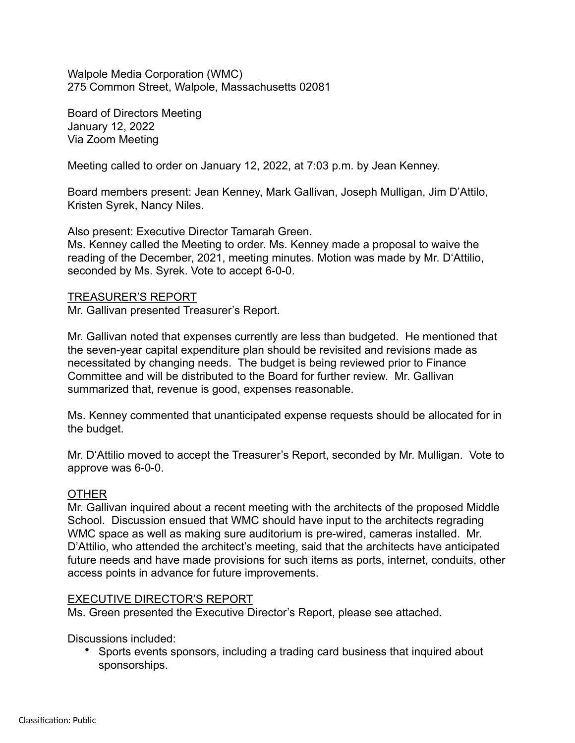Walpole Media Corporation (WMC) 275 Common Street, Walpole, Massachusetts 02081

Board of Directors Meeting January 12, 2022 Via Zoom Meeting

Meeting called to order on January 12, 2022, at 7:03 p.m. by Jean Kenney.

Board members present: Jean Kenney, Mark Gallivan, Joseph Mulligan, Jim D'Attilo, Kristen Syrek, Nancy Niles.

Also present: Executive Director Tamarah Green.

Ms. Kenney called the Meeting to order. Ms. Kenney made a proposal to waive the reading of the December, 2021, meeting minutes. Motion was made by Mr. D'Attilio, seconded by Ms. Syrek. Vote to accept 6-0-0.

## TREASURER'S REPORT

Mr. Gallivan presented Treasurer's Report.

Mr. Gallivan noted that expenses currently are less than budgeted. He mentioned that the seven-year capital expenditure plan should be revisited and revisions made as necessitated by changing needs. The budget is being reviewed prior to Finance Committee and will be distributed to the Board for further review. Mr. Gallivan summarized that, revenue is good, expenses reasonable.

Ms. Kenney commented that unanticipated expense requests should be allocated for in the budget.

Mr. D'Attilio moved to accept the Treasurer's Report, seconded by Mr. Mulligan. Vote to approve was 6-0-0.

### **OTHER**

Mr. Gallivan inquired about a recent meeting with the architects of the proposed Middle School. Discussion ensued that WMC should have input to the architects regrading WMC space as well as making sure auditorium is pre-wired, cameras installed. Mr. D'Attilio, who attended the architect's meeting, said that the architects have anticipated future needs and have made provisions for such items as ports, internet, conduits, other access points in advance for future improvements.

# EXECUTIVE DIRECTOR'S REPORT

Ms. Green presented the Executive Director's Report, please see attached.

Discussions included:

• Sports events sponsors, including a trading card business that inquired about sponsorships.